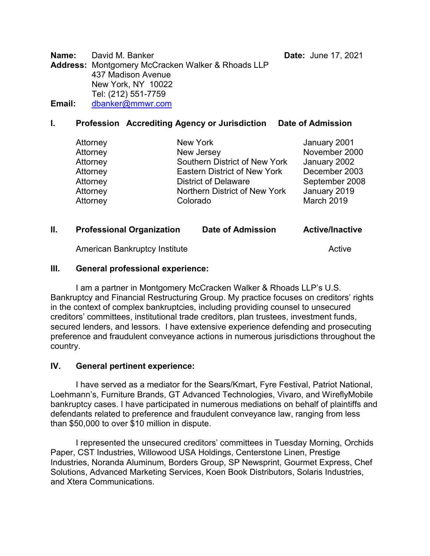**Name:** David M. Banker **Date:** Date: June 17, 2021

**Address:** Montgomery McCracken Walker & Rhoads LLP 437 Madison Avenue New York, NY 10022 Tel: (212) 551-7759 **Email:** [dbanker@mmwr.com](mailto:dbanker@mmwr.com)

### **I. Profession Accrediting Agency or Jurisdiction Date of Admission**

| Attorney | New York                      | January 2001   |
|----------|-------------------------------|----------------|
| Attorney | New Jersey                    | November 2000  |
| Attorney | Southern District of New York | January 2002   |
| Attorney | Eastern District of New York  | December 2003  |
| Attorney | <b>District of Delaware</b>   | September 2008 |
| Attorney | Northern District of New York | January 2019   |
| Attorney | Colorado                      | March 2019     |

# **II. Professional Organization Date of Admission Active/Inactive**

American Bankruptcy Institute Active Active Active

#### **III. General professional experience:**

I am a partner in Montgomery McCracken Walker & Rhoads LLP's U.S. Bankruptcy and Financial Restructuring Group. My practice focuses on creditors' rights in the context of complex bankruptcies, including providing counsel to unsecured creditors' committees, institutional trade creditors, plan trustees, investment funds, secured lenders, and lessors. I have extensive experience defending and prosecuting preference and fraudulent conveyance actions in numerous jurisdictions throughout the country.

#### **IV. General pertinent experience:**

I have served as a mediator for the Sears/Kmart, Fyre Festival, Patriot National, Loehmann's, Furniture Brands, GT Advanced Technologies, Vivaro, and WireflyMobile bankruptcy cases. I have participated in numerous mediations on behalf of plaintiffs and defendants related to preference and fraudulent conveyance law, ranging from less than \$50,000 to over \$10 million in dispute.

I represented the unsecured creditors' committees in Tuesday Morning, Orchids Paper, CST Industries, Willowood USA Holdings, Centerstone Linen, Prestige Industries, Noranda Aluminum, Borders Group, SP Newsprint, Gourmet Express, Chef Solutions, Advanced Marketing Services, Koen Book Distributors, Solaris Industries, and Xtera Communications.